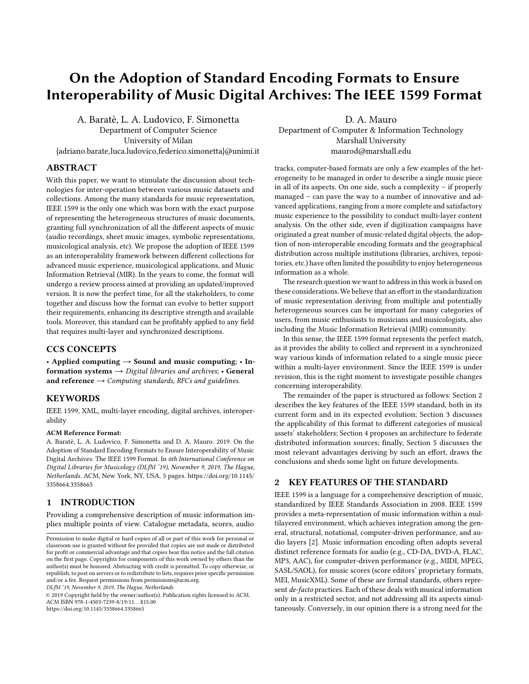# On the Adoption of Standard Encoding Formats to Ensure Interoperability of Music Digital Archives: The IEEE 1599 Format

A. Baratè, L. A. Ludovico, F. Simonetta Department of Computer Science University of Milan

{adriano.barate,luca.ludovico,federico.simonetta}@unimi.it

# ABSTRACT

With this paper, we want to stimulate the discussion about technologies for inter-operation between various music datasets and collections. Among the many standards for music representation, IEEE 1599 is the only one which was born with the exact purpose of representing the heterogeneous structures of music documents, granting full synchronization of all the different aspects of music (audio recordings, sheet music images, symbolic representations, musicological analysis, etc). We propose the adoption of IEEE 1599 as an interoperability framework between different collections for advanced music experience, musicological applications, and Music Information Retrieval (MIR). In the years to come, the format will undergo a review process aimed at providing an updated/improved version. It is now the perfect time, for all the stakeholders, to come together and discuss how the format can evolve to better support their requirements, enhancing its descriptive strength and available tools. Moreover, this standard can be profitably applied to any field that requires multi-layer and synchronized descriptions.

## CCS CONCEPTS

• Applied computing  $\rightarrow$  Sound and music computing; • Information systems  $\rightarrow$  Digital libraries and archives; • General and reference  $\rightarrow$  Computing standards, RFCs and guidelines.

#### KEYWORDS

IEEE 1599, XML, multi-layer encoding, digital archives, interoperability

#### ACM Reference Format:

A. Baratè, L. A. Ludovico, F. Simonetta and D. A. Mauro. 2019. On the Adoption of Standard Encoding Formats to Ensure Interoperability of Music Digital Archives: The IEEE 1599 Format. In 6th International Conference on Digital Libraries for Musicology (DLfM '19), November 9, 2019, The Hague, Netherlands. ACM, New York, NY, USA, [5](#page-4-0) pages. [https://doi.org/10.1145/](https://doi.org/10.1145/3358664.3358665) [3358664.3358665](https://doi.org/10.1145/3358664.3358665)

#### 1 INTRODUCTION

Providing a comprehensive description of music information implies multiple points of view. Catalogue metadata, scores, audio

DLfM '19, November 9, 2019, The Hague, Netherlands

© 2019 Copyright held by the owner/author(s). Publication rights licensed to ACM. ACM ISBN 978-1-4503-7239-8/19/11...\$15.00 <https://doi.org/10.1145/3358664.3358665>

D. A. Mauro Department of Computer & Information Technology Marshall University maurod@marshall.edu

tracks, computer-based formats are only a few examples of the heterogeneity to be managed in order to describe a single music piece in all of its aspects. On one side, such a complexity – if properly managed – can pave the way to a number of innovative and advanced applications, ranging from a more complete and satisfactory music experience to the possibility to conduct multi-layer content analysis. On the other side, even if digitization campaigns have originated a great number of music-related digital objects, the adoption of non-interoperable encoding formats and the geographical distribution across multiple institutions (libraries, archives, repositories, etc.) have often limited the possibility to enjoy heterogeneous information as a whole.

The research question we want to address in this work is based on these considerations. We believe that an effort in the standardization of music representation deriving from multiple and potentially heterogeneous sources can be important for many categories of users, from music enthusiasts to musicians and musicologists, also including the Music Information Retrieval (MIR) community.

In this sense, the IEEE 1599 format represents the perfect match, as it provides the ability to collect and represent in a synchronized way various kinds of information related to a single music piece within a multi-layer environment. Since the IEEE 1599 is under revision, this is the right moment to investigate possible changes concerning interoperability.

The remainder of the paper is structured as follows: Section [2](#page-0-0) describes the key features of the IEEE 1599 standard, both in its current form and in its expected evolution; Section [3](#page-1-0) discusses the applicability of this format to different categories of musical assets' stakeholders; Section [4](#page-2-0) proposes an architecture to federate distributed information sources; finally, Section [5](#page-3-0) discusses the most relevant advantages deriving by such an effort, draws the conclusions and sheds some light on future developments.

# <span id="page-0-0"></span>2 KEY FEATURES OF THE STANDARD

IEEE 1599 is a language for a comprehensive description of music, standardized by IEEE Standards Association in 2008. IEEE 1599 provides a meta-representation of music information within a multilayered environment, which achieves integration among the general, structural, notational, computer-driven performance, and audio layers [\[2\]](#page-4-1). Music information encoding often adopts several distinct reference formats for audio (e.g., CD-DA, DVD-A, FLAC, MP3, AAC), for computer-driven performance (e.g., MIDI, MPEG, SASL/SAOL), for music scores (score editors' proprietary formats, MEI, MusicXML). Some of these are formal standards, others represent de-facto practices. Each of these deals with musical information only in a restricted sector, and not addressing all its aspects simultaneously. Conversely, in our opinion there is a strong need for the

Permission to make digital or hard copies of all or part of this work for personal or classroom use is granted without fee provided that copies are not made or distributed for profit or commercial advantage and that copies bear this notice and the full citation on the first page. Copyrights for components of this work owned by others than the author(s) must be honored. Abstracting with credit is permitted. To copy otherwise, or republish, to post on servers or to redistribute to lists, requires prior specific permission and/or a fee. Request permissions from permissions@acm.org.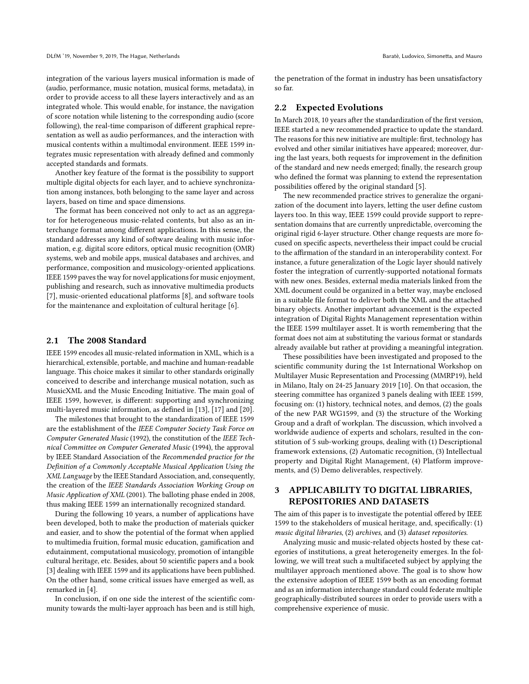integration of the various layers musical information is made of (audio, performance, music notation, musical forms, metadata), in order to provide access to all these layers interactively and as an integrated whole. This would enable, for instance, the navigation of score notation while listening to the corresponding audio (score following), the real-time comparison of different graphical representation as well as audio performances, and the interaction with musical contents within a multimodal environment. IEEE 1599 integrates music representation with already defined and commonly accepted standards and formats.

Another key feature of the format is the possibility to support multiple digital objects for each layer, and to achieve synchronization among instances, both belonging to the same layer and across layers, based on time and space dimensions.

The format has been conceived not only to act as an aggregator for heterogeneous music-related contents, but also as an interchange format among different applications. In this sense, the standard addresses any kind of software dealing with music information, e.g. digital score editors, optical music recognition (OMR) systems, web and mobile apps, musical databases and archives, and performance, composition and musicology-oriented applications. IEEE 1599 paves the way for novel applications for music enjoyment, publishing and research, such as innovative multimedia products [\[7\]](#page-4-2), music-oriented educational platforms [\[8\]](#page-4-3), and software tools for the maintenance and exploitation of cultural heritage [\[6\]](#page-4-4).

#### 2.1 The 2008 Standard

IEEE 1599 encodes all music-related information in XML, which is a hierarchical, extensible, portable, and machine and human-readable language. This choice makes it similar to other standards originally conceived to describe and interchange musical notation, such as MusicXML and the Music Encoding Initiative. The main goal of IEEE 1599, however, is different: supporting and synchronizing multi-layered music information, as defined in [\[13\]](#page-4-5), [\[17\]](#page-4-6) and [\[20\]](#page-4-7).

The milestones that brought to the standardization of IEEE 1599 are the establishment of the IEEE Computer Society Task Force on Computer Generated Music (1992), the constitution of the IEEE Technical Committee on Computer Generated Music (1994), the approval by IEEE Standard Association of the Recommended practice for the Definition of a Commonly Acceptable Musical Application Using the XML Language by the IEEE Standard Association, and, consequently, the creation of the IEEE Standards Association Working Group on Music Application of XML (2001). The balloting phase ended in 2008, thus making IEEE 1599 an internationally recognized standard.

During the following 10 years, a number of applications have been developed, both to make the production of materials quicker and easier, and to show the potential of the format when applied to multimedia fruition, formal music education, gamification and edutainment, computational musicology, promotion of intangible cultural heritage, etc. Besides, about 50 scientific papers and a book [\[3\]](#page-4-8) dealing with IEEE 1599 and its applications have been published. On the other hand, some critical issues have emerged as well, as remarked in [\[4\]](#page-4-9).

In conclusion, if on one side the interest of the scientific community towards the multi-layer approach has been and is still high, the penetration of the format in industry has been unsatisfactory so far.

## 2.2 Expected Evolutions

In March 2018, 10 years after the standardization of the first version, IEEE started a new recommended practice to update the standard. The reasons for this new initiative are multiple: first, technology has evolved and other similar initiatives have appeared; moreover, during the last years, both requests for improvement in the definition of the standard and new needs emerged; finally, the research group who defined the format was planning to extend the representation possibilities offered by the original standard [\[5\]](#page-4-10).

The new recommended practice strives to generalize the organization of the document into layers, letting the user define custom layers too. In this way, IEEE 1599 could provide support to representation domains that are currently unpredictable, overcoming the original rigid 6-layer structure. Other change requests are more focused on specific aspects, nevertheless their impact could be crucial to the affirmation of the standard in an interoperability context. For instance, a future generalization of the Logic layer should natively foster the integration of currently-supported notational formats with new ones. Besides, external media materials linked from the XML document could be organized in a better way, maybe enclosed in a suitable file format to deliver both the XML and the attached binary objects. Another important advancement is the expected integration of Digital Rights Management representation within the IEEE 1599 multilayer asset. It is worth remembering that the format does not aim at substituting the various format or standards already available but rather at providing a meaningful integration.

These possibilities have been investigated and proposed to the scientific community during the 1st International Workshop on Multilayer Music Representation and Processing (MMRP19), held in Milano, Italy on 24-25 January 2019 [\[10\]](#page-4-11). On that occasion, the steering committee has organized 3 panels dealing with IEEE 1599, focusing on: (1) history, technical notes, and demos, (2) the goals of the new PAR WG1599, and (3) the structure of the Working Group and a draft of workplan. The discussion, which involved a worldwide audience of experts and scholars, resulted in the constitution of 5 sub-working groups, dealing with (1) Descriptional framework extensions, (2) Automatic recognition, (3) Intellectual property and Digital Right Management, (4) Platform improvements, and (5) Demo deliverables, respectively.

# <span id="page-1-0"></span>3 APPLICABILITY TO DIGITAL LIBRARIES, REPOSITORIES AND DATASETS

The aim of this paper is to investigate the potential offered by IEEE 1599 to the stakeholders of musical heritage, and, specifically: (1) music digital libraries, (2) archives, and (3) dataset repositories.

Analyzing music and music-related objects hosted by these categories of institutions, a great heterogeneity emerges. In the following, we will treat such a multifaceted subject by applying the multilayer approach mentioned above. The goal is to show how the extensive adoption of IEEE 1599 both as an encoding format and as an information interchange standard could federate multiple geographically-distributed sources in order to provide users with a comprehensive experience of music.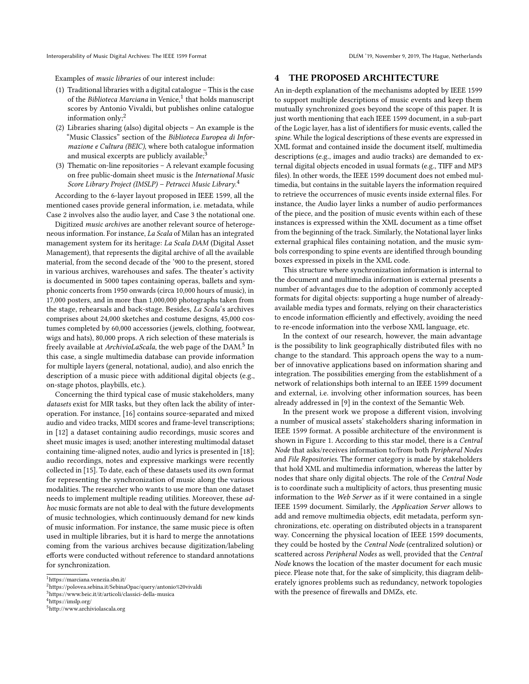Examples of music libraries of our interest include:

- (1) Traditional libraries with a digital catalogue This is the case of the *Biblioteca Marciana* in Venice,<sup>[1](#page-2-1)</sup> that holds manuscript scores by Antonio Vivaldi, but publishes online catalogue information only; $^{2}$  $^{2}$  $^{2}$
- (2) Libraries sharing (also) digital objects An example is the "Music Classics" section of the Biblioteca Europea di Informazione e Cultura (BEIC), where both catalogue information and musical excerpts are publicly available;<sup>[3](#page-2-3)</sup>
- (3) Thematic on-line repositories A relevant example focusing on free public-domain sheet music is the International Music Score Library Project (IMSLP) – Petrucci Music Library.<sup>[4](#page-2-4)</sup>

According to the 6-layer layout proposed in IEEE 1599, all the mentioned cases provide general information, i.e. metadata, while Case 2 involves also the audio layer, and Case 3 the notational one.

Digitized music archives are another relevant source of heterogeneous information. For instance, La Scala of Milan has an integrated management system for its heritage: La Scala DAM (Digital Asset Management), that represents the digital archive of all the available material, from the second decade of the '900 to the present, stored in various archives, warehouses and safes. The theater's activity is documented in 5000 tapes containing operas, ballets and symphonic concerts from 1950 onwards (circa 10,000 hours of music), in 17,000 posters, and in more than 1,000,000 photographs taken from the stage, rehearsals and back-stage. Besides, La Scala's archives comprises about 24,000 sketches and costume designs, 45,000 costumes completed by 60,000 accessories (jewels, clothing, footwear, wigs and hats), 80,000 props. A rich selection of these materials is freely available at ArchivioLaScala, the web page of the DAM.<sup>[5](#page-2-5)</sup> In this case, a single multimedia database can provide information for multiple layers (general, notational, audio), and also enrich the description of a music piece with additional digital objects (e.g., on-stage photos, playbills, etc.).

Concerning the third typical case of music stakeholders, many datasets exist for MIR tasks, but they often lack the ability of interoperation. For instance, [\[16\]](#page-4-12) contains source-separated and mixed audio and video tracks, MIDI scores and frame-level transcriptions; in [\[12\]](#page-4-13) a dataset containing audio recordings, music scores and sheet music images is used; another interesting multimodal dataset containing time-aligned notes, audio and lyrics is presented in [\[18\]](#page-4-14); audio recordings, notes and expressive markings were recently collected in [\[15\]](#page-4-15). To date, each of these datasets used its own format for representing the synchronization of music along the various modalities. The researcher who wants to use more than one dataset needs to implement multiple reading utilities. Moreover, these adhoc music formats are not able to deal with the future developments of music technologies, which continuously demand for new kinds of music information. For instance, the same music piece is often used in multiple libraries, but it is hard to merge the annotations coming from the various archives because digitization/labeling efforts were conducted without reference to standard annotations for synchronization.

## <span id="page-2-0"></span>4 THE PROPOSED ARCHITECTURE

An in-depth explanation of the mechanisms adopted by IEEE 1599 to support multiple descriptions of music events and keep them mutually synchronized goes beyond the scope of this paper. It is just worth mentioning that each IEEE 1599 document, in a sub-part of the Logic layer, has a list of identifiers for music events, called the spine. While the logical descriptions of these events are expressed in XML format and contained inside the document itself, multimedia descriptions (e.g., images and audio tracks) are demanded to external digital objects encoded in usual formats (e.g., TIFF and MP3 files). In other words, the IEEE 1599 document does not embed multimedia, but contains in the suitable layers the information required to retrieve the occurrences of music events inside external files. For instance, the Audio layer links a number of audio performances of the piece, and the position of music events within each of these instances is expressed within the XML document as a time offset from the beginning of the track. Similarly, the Notational layer links external graphical files containing notation, and the music symbols corresponding to spine events are identified through bounding boxes expressed in pixels in the XML code.

This structure where synchronization information is internal to the document and multimedia information is external presents a number of advantages due to the adoption of commonly accepted formats for digital objects: supporting a huge number of alreadyavailable media types and formats, relying on their characteristics to encode information efficiently and effectively, avoiding the need to re-encode information into the verbose XML language, etc.

In the context of our research, however, the main advantage is the possibility to link geographically distributed files with no change to the standard. This approach opens the way to a number of innovative applications based on information sharing and integration. The possibilities emerging from the establishment of a network of relationships both internal to an IEEE 1599 document and external, i.e. involving other information sources, has been already addressed in [\[9\]](#page-4-16) in the context of the Semantic Web.

In the present work we propose a different vision, involving a number of musical assets' stakeholders sharing information in IEEE 1599 format. A possible architecture of the environment is shown in Figure [1.](#page-3-1) According to this star model, there is a Central Node that asks/receives information to/from both Peripheral Nodes and File Repositories. The former category is made by stakeholders that hold XML and multimedia information, whereas the latter by nodes that share only digital objects. The role of the Central Node is to coordinate such a multiplicity of actors, thus presenting music information to the Web Server as if it were contained in a single IEEE 1599 document. Similarly, the Application Server allows to add and remove multimedia objects, edit metadata, perform synchronizations, etc. operating on distributed objects in a transparent way. Concerning the physical location of IEEE 1599 documents, they could be hosted by the Central Node (centralized solution) or scattered across Peripheral Nodes as well, provided that the Central Node knows the location of the master document for each music piece. Please note that, for the sake of simplicity, this diagram deliberately ignores problems such as redundancy, network topologies with the presence of firewalls and DMZs, etc.

<span id="page-2-1"></span><sup>1</sup><https://marciana.venezia.sbn.it/>

<span id="page-2-2"></span><sup>2</sup><https://polovea.sebina.it/SebinaOpac/query/antonio%20vivaldi>

<span id="page-2-3"></span><sup>3</sup><https://www.beic.it/it/articoli/classici-della-musica>

<span id="page-2-4"></span><sup>4</sup><https://imslp.org/>

<span id="page-2-5"></span><sup>5</sup><http://www.archiviolascala.org>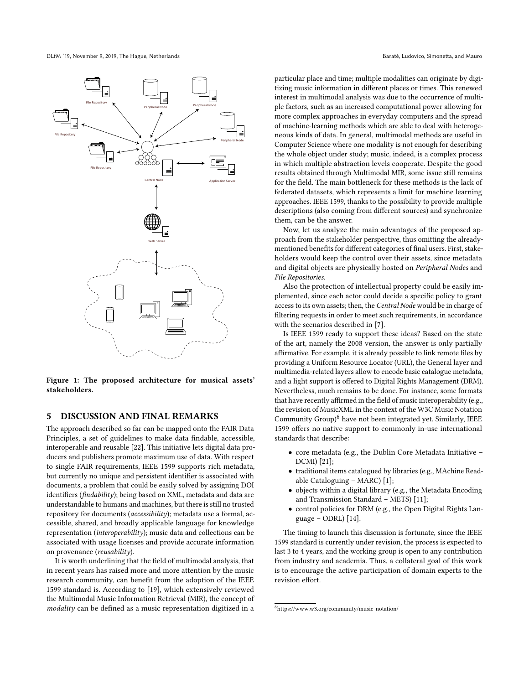DLfM '19, November 9, 2019, The Hague, Netherlands Baratè, Ludovico, Simonetta, and Mauro

<span id="page-3-1"></span>

Figure 1: The proposed architecture for musical assets' stakeholders.

# <span id="page-3-0"></span>5 DISCUSSION AND FINAL REMARKS

The approach described so far can be mapped onto the FAIR Data Principles, a set of guidelines to make data findable, accessible, interoperable and reusable [\[22\]](#page-4-17). This initiative lets digital data producers and publishers promote maximum use of data. With respect to single FAIR requirements, IEEE 1599 supports rich metadata, but currently no unique and persistent identifier is associated with documents, a problem that could be easily solved by assigning DOI identifiers (findability); being based on XML, metadata and data are understandable to humans and machines, but there is still no trusted repository for documents (accessibility); metadata use a formal, accessible, shared, and broadly applicable language for knowledge representation (interoperability); music data and collections can be associated with usage licenses and provide accurate information on provenance (reusability).

It is worth underlining that the field of multimodal analysis, that in recent years has raised more and more attention by the music research community, can benefit from the adoption of the IEEE 1599 standard is. According to [\[19\]](#page-4-18), which extensively reviewed the Multimodal Music Information Retrieval (MIR), the concept of modality can be defined as a music representation digitized in a

particular place and time; multiple modalities can originate by digitizing music information in different places or times. This renewed interest in multimodal analysis was due to the occurrence of multiple factors, such as an increased computational power allowing for more complex approaches in everyday computers and the spread of machine-learning methods which are able to deal with heterogeneous kinds of data. In general, multimodal methods are useful in Computer Science where one modality is not enough for describing the whole object under study; music, indeed, is a complex process in which multiple abstraction levels cooperate. Despite the good results obtained through Multimodal MIR, some issue still remains for the field. The main bottleneck for these methods is the lack of federated datasets, which represents a limit for machine learning approaches. IEEE 1599, thanks to the possibility to provide multiple descriptions (also coming from different sources) and synchronize them, can be the answer.

Now, let us analyze the main advantages of the proposed approach from the stakeholder perspective, thus omitting the alreadymentioned benefits for different categories of final users. First, stakeholders would keep the control over their assets, since metadata and digital objects are physically hosted on Peripheral Nodes and File Repositories.

Also the protection of intellectual property could be easily implemented, since each actor could decide a specific policy to grant access to its own assets; then, the Central Node would be in charge of filtering requests in order to meet such requirements, in accordance with the scenarios described in [\[7\]](#page-4-2).

Is IEEE 1599 ready to support these ideas? Based on the state of the art, namely the 2008 version, the answer is only partially affirmative. For example, it is already possible to link remote files by providing a Uniform Resource Locator (URL), the General layer and multimedia-related layers allow to encode basic catalogue metadata, and a light support is offered to Digital Rights Management (DRM). Nevertheless, much remains to be done. For instance, some formats that have recently affirmed in the field of music interoperability (e.g., the revision of MusicXML in the context of the W3C Music Notation Community Group)<sup>[6](#page-3-2)</sup> have not been integrated yet. Similarly, IEEE 1599 offers no native support to commonly in-use international standards that describe:

- core metadata (e.g., the Dublin Core Metadata Initiative DCMI) [\[21\]](#page-4-19);
- traditional items catalogued by libraries (e.g., MAchine Readable Cataloguing – MARC) [\[1\]](#page-4-20);
- objects within a digital library (e.g., the Metadata Encoding and Transmission Standard – METS) [\[11\]](#page-4-21);
- control policies for DRM (e.g., the Open Digital Rights Language – ODRL) [\[14\]](#page-4-22).

The timing to launch this discussion is fortunate, since the IEEE 1599 standard is currently under revision, the process is expected to last 3 to 4 years, and the working group is open to any contribution from industry and academia. Thus, a collateral goal of this work is to encourage the active participation of domain experts to the revision effort.

<span id="page-3-2"></span><sup>6</sup><https://www.w3.org/community/music-notation/>